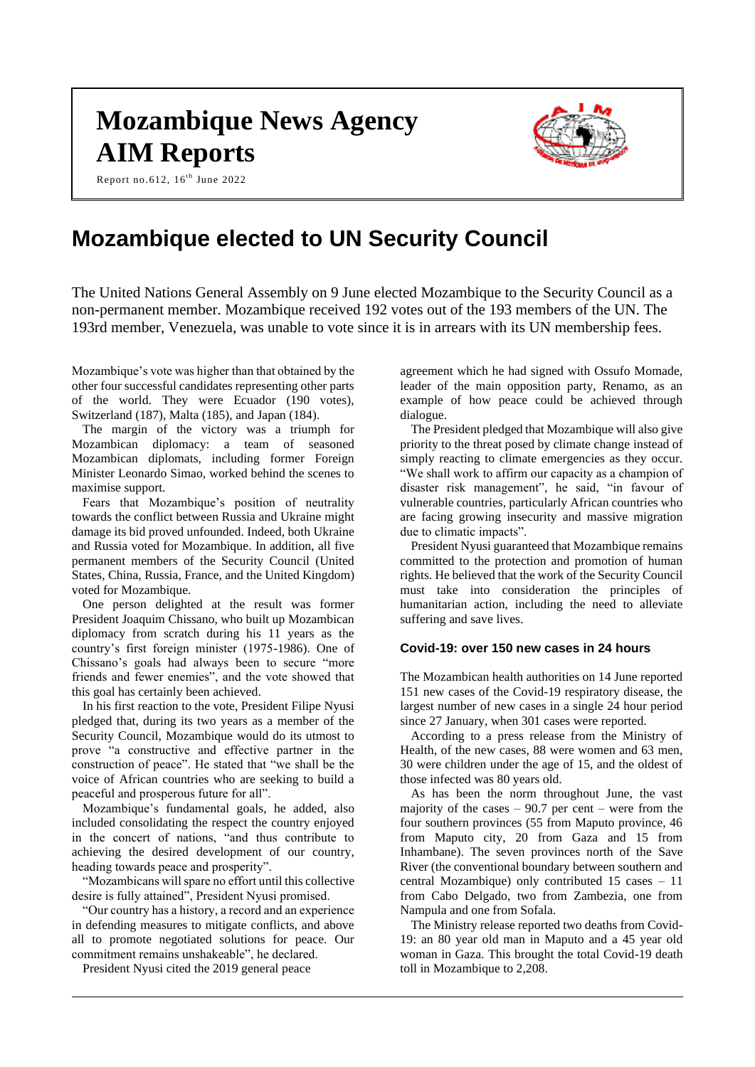# **Mozambique News Agency AIM Reports**





# **Mozambique elected to UN Security Council**

The United Nations General Assembly on 9 June elected Mozambique to the Security Council as a non-permanent member. Mozambique received 192 votes out of the 193 members of the UN. The 193rd member, Venezuela, was unable to vote since it is in arrears with its UN membership fees.

Mozambique's vote was higher than that obtained by the other four successful candidates representing other parts of the world. They were Ecuador (190 votes), Switzerland (187), Malta (185), and Japan (184).

The margin of the victory was a triumph for Mozambican diplomacy: a team of seasoned Mozambican diplomats, including former Foreign Minister Leonardo Simao, worked behind the scenes to maximise support.

Fears that Mozambique's position of neutrality towards the conflict between Russia and Ukraine might damage its bid proved unfounded. Indeed, both Ukraine and Russia voted for Mozambique. In addition, all five permanent members of the Security Council (United States, China, Russia, France, and the United Kingdom) voted for Mozambique.

One person delighted at the result was former President Joaquim Chissano, who built up Mozambican diplomacy from scratch during his 11 years as the country's first foreign minister (1975-1986). One of Chissano's goals had always been to secure "more friends and fewer enemies", and the vote showed that this goal has certainly been achieved.

In his first reaction to the vote, President Filipe Nyusi pledged that, during its two years as a member of the Security Council, Mozambique would do its utmost to prove "a constructive and effective partner in the construction of peace". He stated that "we shall be the voice of African countries who are seeking to build a peaceful and prosperous future for all".

Mozambique's fundamental goals, he added, also included consolidating the respect the country enjoyed in the concert of nations, "and thus contribute to achieving the desired development of our country, heading towards peace and prosperity".

"Mozambicans will spare no effort until this collective desire is fully attained", President Nyusi promised.

"Our country has a history, a record and an experience in defending measures to mitigate conflicts, and above all to promote negotiated solutions for peace. Our commitment remains unshakeable", he declared.

President Nyusi cited the 2019 general peace

agreement which he had signed with Ossufo Momade, leader of the main opposition party, Renamo, as an example of how peace could be achieved through dialogue.

The President pledged that Mozambique will also give priority to the threat posed by climate change instead of simply reacting to climate emergencies as they occur. "We shall work to affirm our capacity as a champion of disaster risk management", he said, "in favour of vulnerable countries, particularly African countries who are facing growing insecurity and massive migration due to climatic impacts".

President Nyusi guaranteed that Mozambique remains committed to the protection and promotion of human rights. He believed that the work of the Security Council must take into consideration the principles of humanitarian action, including the need to alleviate suffering and save lives.

# **Covid-19: over 150 new cases in 24 hours**

The Mozambican health authorities on 14 June reported 151 new cases of the Covid-19 respiratory disease, the largest number of new cases in a single 24 hour period since 27 January, when 301 cases were reported.

According to a press release from the Ministry of Health, of the new cases, 88 were women and 63 men, 30 were children under the age of 15, and the oldest of those infected was 80 years old.

As has been the norm throughout June, the vast majority of the cases  $-90.7$  per cent – were from the four southern provinces (55 from Maputo province, 46 from Maputo city, 20 from Gaza and 15 from Inhambane). The seven provinces north of the Save River (the conventional boundary between southern and central Mozambique) only contributed 15 cases – 11 from Cabo Delgado, two from Zambezia, one from Nampula and one from Sofala.

The Ministry release reported two deaths from Covid-19: an 80 year old man in Maputo and a 45 year old woman in Gaza. This brought the total Covid-19 death toll in Mozambique to 2,208.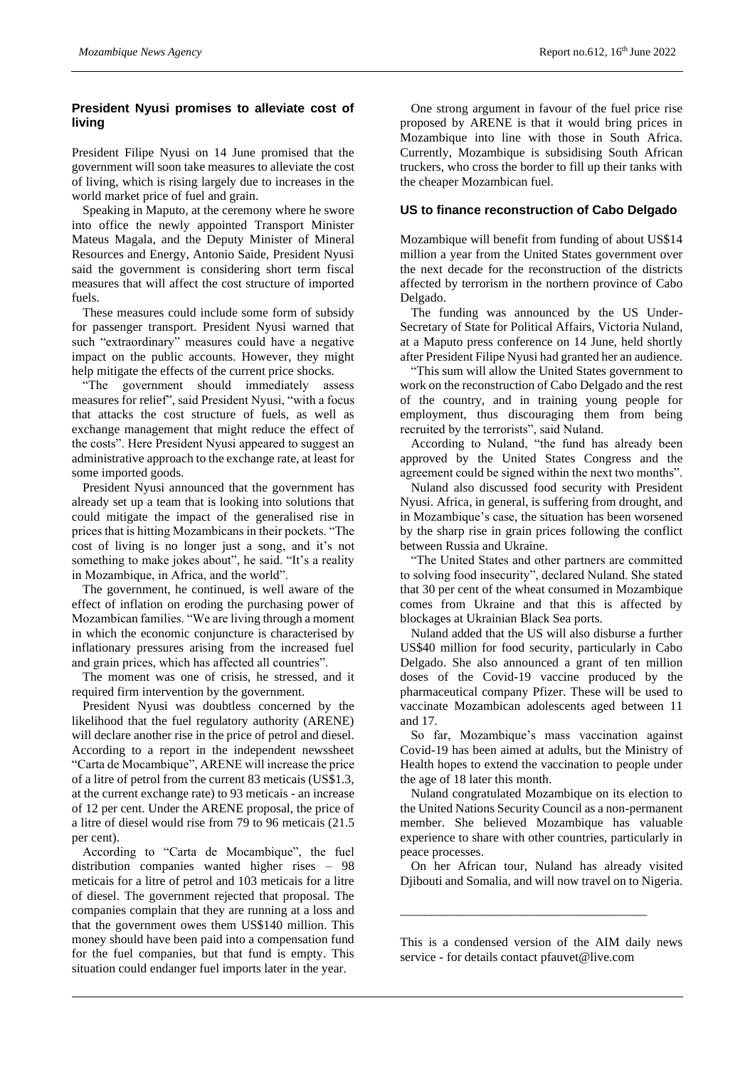# **President Nyusi promises to alleviate cost of living**

President Filipe Nyusi on 14 June promised that the government will soon take measures to alleviate the cost of living, which is rising largely due to increases in the world market price of fuel and grain.

Speaking in Maputo, at the ceremony where he swore into office the newly appointed Transport Minister Mateus Magala, and the Deputy Minister of Mineral Resources and Energy, Antonio Saide, President Nyusi said the government is considering short term fiscal measures that will affect the cost structure of imported fuels.

These measures could include some form of subsidy for passenger transport. President Nyusi warned that such "extraordinary" measures could have a negative impact on the public accounts. However, they might help mitigate the effects of the current price shocks.

"The government should immediately assess measures for relief", said President Nyusi, "with a focus that attacks the cost structure of fuels, as well as exchange management that might reduce the effect of the costs". Here President Nyusi appeared to suggest an administrative approach to the exchange rate, at least for some imported goods.

President Nyusi announced that the government has already set up a team that is looking into solutions that could mitigate the impact of the generalised rise in prices that is hitting Mozambicans in their pockets. "The cost of living is no longer just a song, and it's not something to make jokes about", he said. "It's a reality in Mozambique, in Africa, and the world".

The government, he continued, is well aware of the effect of inflation on eroding the purchasing power of Mozambican families. "We are living through a moment in which the economic conjuncture is characterised by inflationary pressures arising from the increased fuel and grain prices, which has affected all countries".

The moment was one of crisis, he stressed, and it required firm intervention by the government.

President Nyusi was doubtless concerned by the likelihood that the fuel regulatory authority (ARENE) will declare another rise in the price of petrol and diesel. According to a report in the independent newssheet "Carta de Mocambique", ARENE will increase the price of a litre of petrol from the current 83 meticais (US\$1.3, at the current exchange rate) to 93 meticais - an increase of 12 per cent. Under the ARENE proposal, the price of a litre of diesel would rise from 79 to 96 meticais (21.5 per cent).

According to "Carta de Mocambique", the fuel distribution companies wanted higher rises – 98 meticais for a litre of petrol and 103 meticais for a litre of diesel. The government rejected that proposal. The companies complain that they are running at a loss and that the government owes them US\$140 million. This money should have been paid into a compensation fund for the fuel companies, but that fund is empty. This situation could endanger fuel imports later in the year.

One strong argument in favour of the fuel price rise proposed by ARENE is that it would bring prices in Mozambique into line with those in South Africa. Currently, Mozambique is subsidising South African truckers, who cross the border to fill up their tanks with the cheaper Mozambican fuel.

# **US to finance reconstruction of Cabo Delgado**

Mozambique will benefit from funding of about US\$14 million a year from the United States government over the next decade for the reconstruction of the districts affected by terrorism in the northern province of Cabo Delgado.

The funding was announced by the US Under-Secretary of State for Political Affairs, Victoria Nuland, at a Maputo press conference on 14 June, held shortly after President Filipe Nyusi had granted her an audience.

"This sum will allow the United States government to work on the reconstruction of Cabo Delgado and the rest of the country, and in training young people for employment, thus discouraging them from being recruited by the terrorists", said Nuland.

According to Nuland, "the fund has already been approved by the United States Congress and the agreement could be signed within the next two months".

Nuland also discussed food security with President Nyusi. Africa, in general, is suffering from drought, and in Mozambique's case, the situation has been worsened by the sharp rise in grain prices following the conflict between Russia and Ukraine.

"The United States and other partners are committed to solving food insecurity", declared Nuland. She stated that 30 per cent of the wheat consumed in Mozambique comes from Ukraine and that this is affected by blockages at Ukrainian Black Sea ports.

Nuland added that the US will also disburse a further US\$40 million for food security, particularly in Cabo Delgado. She also announced a grant of ten million doses of the Covid-19 vaccine produced by the pharmaceutical company Pfizer. These will be used to vaccinate Mozambican adolescents aged between 11 and 17.

So far, Mozambique's mass vaccination against Covid-19 has been aimed at adults, but the Ministry of Health hopes to extend the vaccination to people under the age of 18 later this month.

Nuland congratulated Mozambique on its election to the United Nations Security Council as a non-permanent member. She believed Mozambique has valuable experience to share with other countries, particularly in peace processes.

On her African tour, Nuland has already visited Djibouti and Somalia, and will now travel on to Nigeria.

\_\_\_\_\_\_\_\_\_\_\_\_\_\_\_\_\_\_\_\_\_\_\_\_\_\_\_\_\_\_\_\_\_\_\_\_\_\_\_

This is a condensed version of the AIM daily news service - for details contact pfauvet@live.com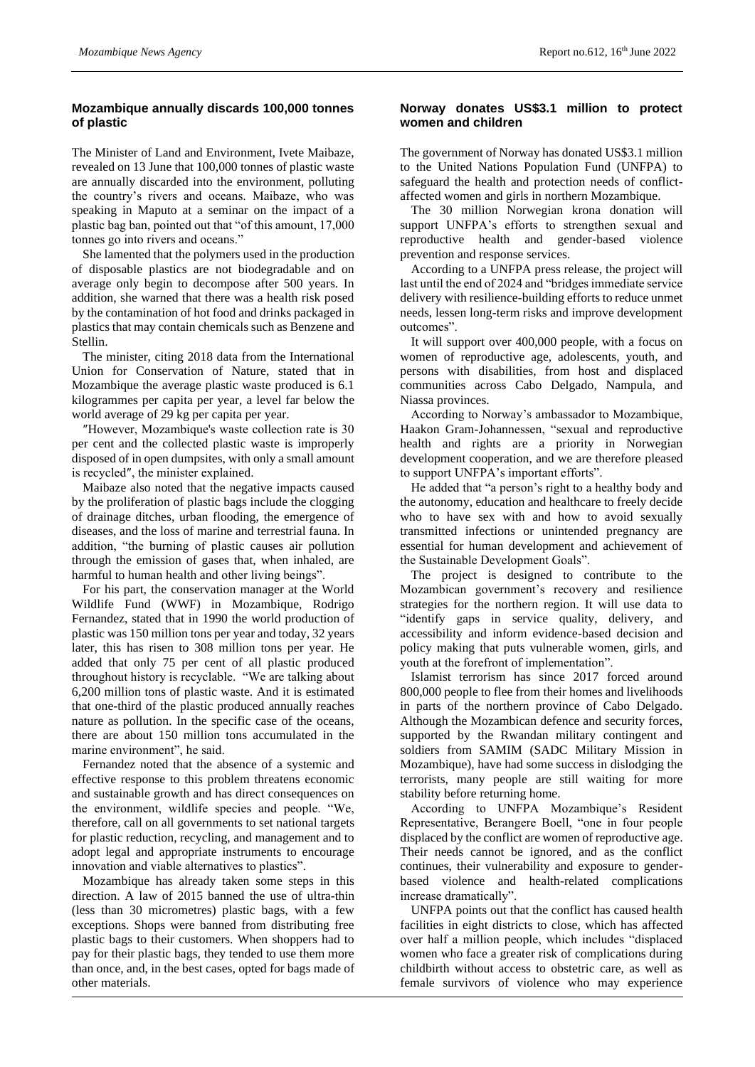# **Mozambique annually discards 100,000 tonnes of plastic**

The Minister of Land and Environment, Ivete Maibaze, revealed on 13 June that 100,000 tonnes of plastic waste are annually discarded into the environment, polluting the country's rivers and oceans. Maibaze, who was speaking in Maputo at a seminar on the impact of a plastic bag ban, pointed out that "of this amount, 17,000 tonnes go into rivers and oceans."

She lamented that the polymers used in the production of disposable plastics are not biodegradable and on average only begin to decompose after 500 years. In addition, she warned that there was a health risk posed by the contamination of hot food and drinks packaged in plastics that may contain chemicals such as Benzene and Stellin.

The minister, citing 2018 data from the International Union for Conservation of Nature, stated that in Mozambique the average plastic waste produced is 6.1 kilogrammes per capita per year, a level far below the world average of 29 kg per capita per year.

″However, Mozambique's waste collection rate is 30 per cent and the collected plastic waste is improperly disposed of in open dumpsites, with only a small amount is recycled″, the minister explained.

Maibaze also noted that the negative impacts caused by the proliferation of plastic bags include the clogging of drainage ditches, urban flooding, the emergence of diseases, and the loss of marine and terrestrial fauna. In addition, "the burning of plastic causes air pollution through the emission of gases that, when inhaled, are harmful to human health and other living beings".

For his part, the conservation manager at the World Wildlife Fund (WWF) in Mozambique, Rodrigo Fernandez, stated that in 1990 the world production of plastic was 150 million tons per year and today, 32 years later, this has risen to 308 million tons per year. He added that only 75 per cent of all plastic produced throughout history is recyclable. "We are talking about 6,200 million tons of plastic waste. And it is estimated that one-third of the plastic produced annually reaches nature as pollution. In the specific case of the oceans, there are about 150 million tons accumulated in the marine environment", he said.

Fernandez noted that the absence of a systemic and effective response to this problem threatens economic and sustainable growth and has direct consequences on the environment, wildlife species and people. "We, therefore, call on all governments to set national targets for plastic reduction, recycling, and management and to adopt legal and appropriate instruments to encourage innovation and viable alternatives to plastics".

Mozambique has already taken some steps in this direction. A law of 2015 banned the use of ultra-thin (less than 30 micrometres) plastic bags, with a few exceptions. Shops were banned from distributing free plastic bags to their customers. When shoppers had to pay for their plastic bags, they tended to use them more than once, and, in the best cases, opted for bags made of other materials.

#### **Norway donates US\$3.1 million to protect women and children**

The government of Norway has donated US\$3.1 million to the United Nations Population Fund (UNFPA) to safeguard the health and protection needs of conflictaffected women and girls in northern Mozambique.

The 30 million Norwegian krona donation will support UNFPA's efforts to strengthen sexual and reproductive health and gender-based violence prevention and response services.

According to a UNFPA press release, the project will last until the end of 2024 and "bridges immediate service delivery with resilience-building efforts to reduce unmet needs, lessen long-term risks and improve development outcomes".

It will support over 400,000 people, with a focus on women of reproductive age, adolescents, youth, and persons with disabilities, from host and displaced communities across Cabo Delgado, Nampula, and Niassa provinces.

According to Norway's ambassador to Mozambique, Haakon Gram-Johannessen, "sexual and reproductive health and rights are a priority in Norwegian development cooperation, and we are therefore pleased to support UNFPA's important efforts".

He added that "a person's right to a healthy body and the autonomy, education and healthcare to freely decide who to have sex with and how to avoid sexually transmitted infections or unintended pregnancy are essential for human development and achievement of the Sustainable Development Goals".

The project is designed to contribute to the Mozambican government's recovery and resilience strategies for the northern region. It will use data to "identify gaps in service quality, delivery, and accessibility and inform evidence-based decision and policy making that puts vulnerable women, girls, and youth at the forefront of implementation".

Islamist terrorism has since 2017 forced around 800,000 people to flee from their homes and livelihoods in parts of the northern province of Cabo Delgado. Although the Mozambican defence and security forces, supported by the Rwandan military contingent and soldiers from SAMIM (SADC Military Mission in Mozambique), have had some success in dislodging the terrorists, many people are still waiting for more stability before returning home.

According to UNFPA Mozambique's Resident Representative, Berangere Boell, "one in four people displaced by the conflict are women of reproductive age. Their needs cannot be ignored, and as the conflict continues, their vulnerability and exposure to genderbased violence and health-related complications increase dramatically".

UNFPA points out that the conflict has caused health facilities in eight districts to close, which has affected over half a million people, which includes "displaced women who face a greater risk of complications during childbirth without access to obstetric care, as well as female survivors of violence who may experience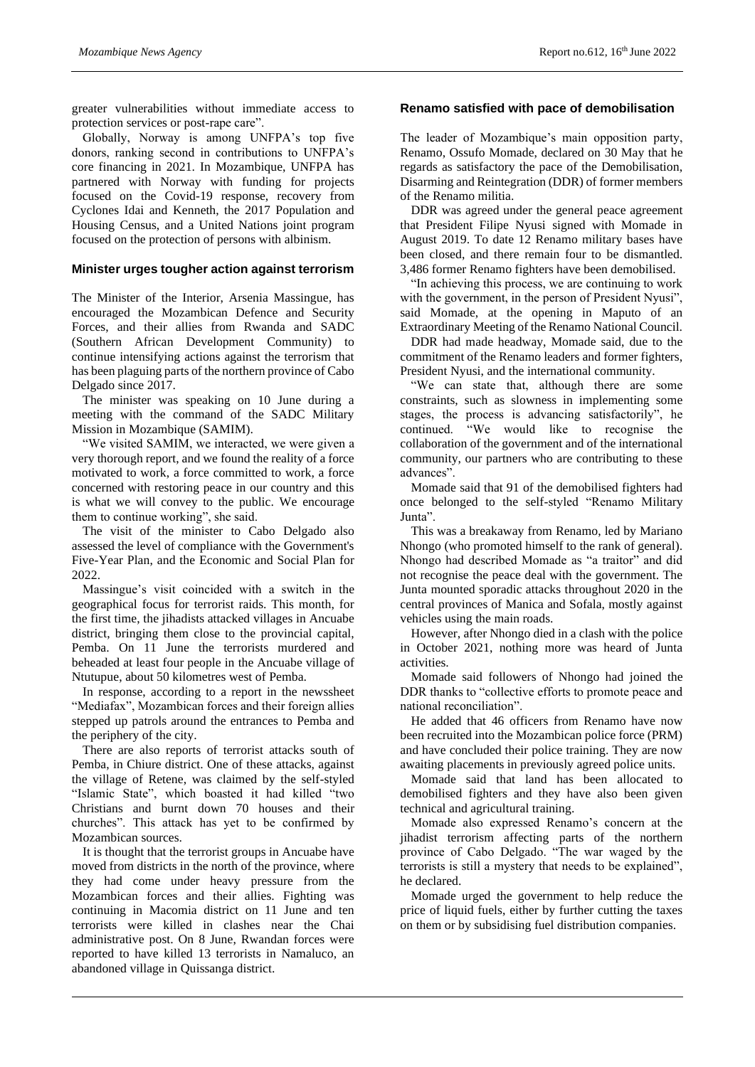greater vulnerabilities without immediate access to protection services or post-rape care".

Globally, Norway is among UNFPA's top five donors, ranking second in contributions to UNFPA's core financing in 2021. In Mozambique, UNFPA has partnered with Norway with funding for projects focused on the Covid-19 response, recovery from Cyclones Idai and Kenneth, the 2017 Population and Housing Census, and a United Nations joint program focused on the protection of persons with albinism.

#### **Minister urges tougher action against terrorism**

The Minister of the Interior, Arsenia Massingue, has encouraged the Mozambican Defence and Security Forces, and their allies from Rwanda and SADC (Southern African Development Community) to continue intensifying actions against the terrorism that has been plaguing parts of the northern province of Cabo Delgado since 2017.

The minister was speaking on 10 June during a meeting with the command of the SADC Military Mission in Mozambique (SAMIM).

"We visited SAMIM, we interacted, we were given a very thorough report, and we found the reality of a force motivated to work, a force committed to work, a force concerned with restoring peace in our country and this is what we will convey to the public. We encourage them to continue working", she said.

The visit of the minister to Cabo Delgado also assessed the level of compliance with the Government's Five-Year Plan, and the Economic and Social Plan for 2022.

Massingue's visit coincided with a switch in the geographical focus for terrorist raids. This month, for the first time, the jihadists attacked villages in Ancuabe district, bringing them close to the provincial capital, Pemba. On 11 June the terrorists murdered and beheaded at least four people in the Ancuabe village of Ntutupue, about 50 kilometres west of Pemba.

In response, according to a report in the newssheet "Mediafax", Mozambican forces and their foreign allies stepped up patrols around the entrances to Pemba and the periphery of the city.

There are also reports of terrorist attacks south of Pemba, in Chiure district. One of these attacks, against the village of Retene, was claimed by the self-styled "Islamic State", which boasted it had killed "two Christians and burnt down 70 houses and their churches". This attack has yet to be confirmed by Mozambican sources.

It is thought that the terrorist groups in Ancuabe have moved from districts in the north of the province, where they had come under heavy pressure from the Mozambican forces and their allies. Fighting was continuing in Macomia district on 11 June and ten terrorists were killed in clashes near the Chai administrative post. On 8 June, Rwandan forces were reported to have killed 13 terrorists in Namaluco, an abandoned village in Quissanga district.

#### **Renamo satisfied with pace of demobilisation**

The leader of Mozambique's main opposition party, Renamo, Ossufo Momade, declared on 30 May that he regards as satisfactory the pace of the Demobilisation, Disarming and Reintegration (DDR) of former members of the Renamo militia.

DDR was agreed under the general peace agreement that President Filipe Nyusi signed with Momade in August 2019. To date 12 Renamo military bases have been closed, and there remain four to be dismantled. 3,486 former Renamo fighters have been demobilised.

"In achieving this process, we are continuing to work with the government, in the person of President Nyusi", said Momade, at the opening in Maputo of an Extraordinary Meeting of the Renamo National Council.

DDR had made headway, Momade said, due to the commitment of the Renamo leaders and former fighters, President Nyusi, and the international community.

"We can state that, although there are some constraints, such as slowness in implementing some stages, the process is advancing satisfactorily", he continued. "We would like to recognise the collaboration of the government and of the international community, our partners who are contributing to these advances".

Momade said that 91 of the demobilised fighters had once belonged to the self-styled "Renamo Military Junta".

This was a breakaway from Renamo, led by Mariano Nhongo (who promoted himself to the rank of general). Nhongo had described Momade as "a traitor" and did not recognise the peace deal with the government. The Junta mounted sporadic attacks throughout 2020 in the central provinces of Manica and Sofala, mostly against vehicles using the main roads.

However, after Nhongo died in a clash with the police in October 2021, nothing more was heard of Junta activities.

Momade said followers of Nhongo had joined the DDR thanks to "collective efforts to promote peace and national reconciliation".

He added that 46 officers from Renamo have now been recruited into the Mozambican police force (PRM) and have concluded their police training. They are now awaiting placements in previously agreed police units.

Momade said that land has been allocated to demobilised fighters and they have also been given technical and agricultural training.

Momade also expressed Renamo's concern at the jihadist terrorism affecting parts of the northern province of Cabo Delgado. "The war waged by the terrorists is still a mystery that needs to be explained", he declared.

Momade urged the government to help reduce the price of liquid fuels, either by further cutting the taxes on them or by subsidising fuel distribution companies.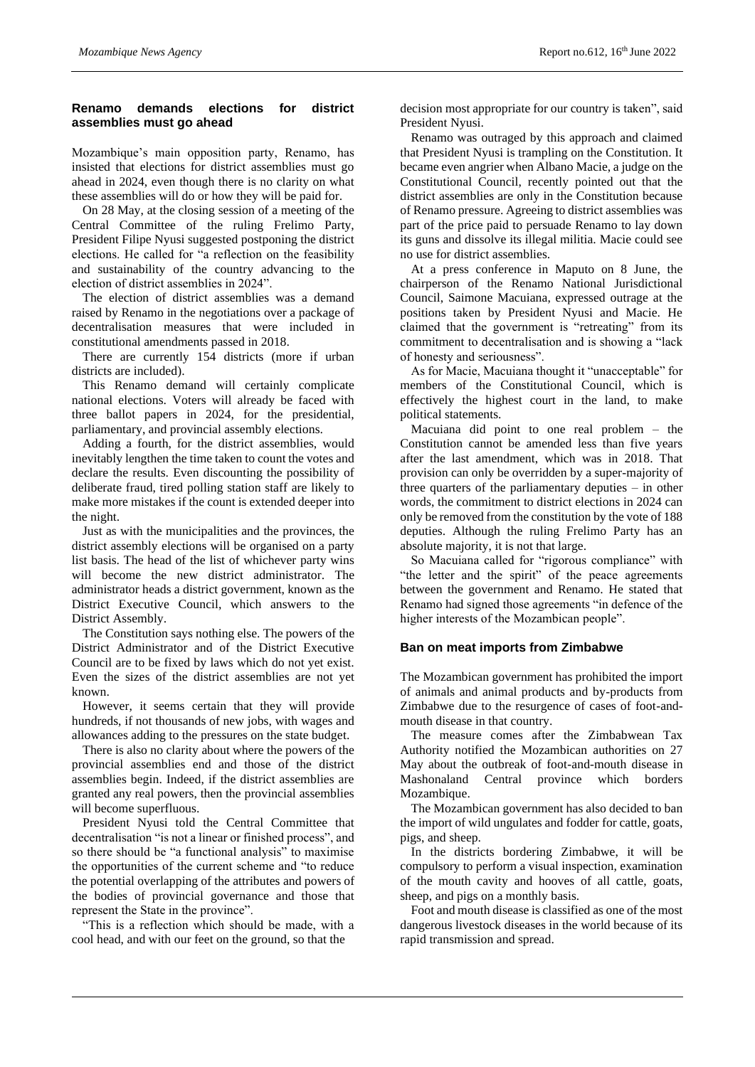# **Renamo demands elections for district assemblies must go ahead**

Mozambique's main opposition party, Renamo, has insisted that elections for district assemblies must go ahead in 2024, even though there is no clarity on what these assemblies will do or how they will be paid for.

On 28 May, at the closing session of a meeting of the Central Committee of the ruling Frelimo Party, President Filipe Nyusi suggested postponing the district elections. He called for "a reflection on the feasibility and sustainability of the country advancing to the election of district assemblies in 2024".

The election of district assemblies was a demand raised by Renamo in the negotiations over a package of decentralisation measures that were included in constitutional amendments passed in 2018.

There are currently 154 districts (more if urban districts are included).

This Renamo demand will certainly complicate national elections. Voters will already be faced with three ballot papers in 2024, for the presidential, parliamentary, and provincial assembly elections.

Adding a fourth, for the district assemblies, would inevitably lengthen the time taken to count the votes and declare the results. Even discounting the possibility of deliberate fraud, tired polling station staff are likely to make more mistakes if the count is extended deeper into the night.

Just as with the municipalities and the provinces, the district assembly elections will be organised on a party list basis. The head of the list of whichever party wins will become the new district administrator. The administrator heads a district government, known as the District Executive Council, which answers to the District Assembly.

The Constitution says nothing else. The powers of the District Administrator and of the District Executive Council are to be fixed by laws which do not yet exist. Even the sizes of the district assemblies are not yet known.

However, it seems certain that they will provide hundreds, if not thousands of new jobs, with wages and allowances adding to the pressures on the state budget.

There is also no clarity about where the powers of the provincial assemblies end and those of the district assemblies begin. Indeed, if the district assemblies are granted any real powers, then the provincial assemblies will become superfluous.

President Nyusi told the Central Committee that decentralisation "is not a linear or finished process", and so there should be "a functional analysis" to maximise the opportunities of the current scheme and "to reduce the potential overlapping of the attributes and powers of the bodies of provincial governance and those that represent the State in the province".

"This is a reflection which should be made, with a cool head, and with our feet on the ground, so that the

decision most appropriate for our country is taken", said President Nyusi.

Renamo was outraged by this approach and claimed that President Nyusi is trampling on the Constitution. It became even angrier when Albano Macie, a judge on the Constitutional Council, recently pointed out that the district assemblies are only in the Constitution because of Renamo pressure. Agreeing to district assemblies was part of the price paid to persuade Renamo to lay down its guns and dissolve its illegal militia. Macie could see no use for district assemblies.

At a press conference in Maputo on 8 June, the chairperson of the Renamo National Jurisdictional Council, Saimone Macuiana, expressed outrage at the positions taken by President Nyusi and Macie. He claimed that the government is "retreating" from its commitment to decentralisation and is showing a "lack of honesty and seriousness".

As for Macie, Macuiana thought it "unacceptable" for members of the Constitutional Council, which is effectively the highest court in the land, to make political statements.

Macuiana did point to one real problem – the Constitution cannot be amended less than five years after the last amendment, which was in 2018. That provision can only be overridden by a super-majority of three quarters of the parliamentary deputies – in other words, the commitment to district elections in 2024 can only be removed from the constitution by the vote of 188 deputies. Although the ruling Frelimo Party has an absolute majority, it is not that large.

So Macuiana called for "rigorous compliance" with "the letter and the spirit" of the peace agreements between the government and Renamo. He stated that Renamo had signed those agreements "in defence of the higher interests of the Mozambican people".

# **Ban on meat imports from Zimbabwe**

The Mozambican government has prohibited the import of animals and animal products and by-products from Zimbabwe due to the resurgence of cases of foot-andmouth disease in that country.

The measure comes after the Zimbabwean Tax Authority notified the Mozambican authorities on 27 May about the outbreak of foot-and-mouth disease in Mashonaland Central province which borders Mozambique.

The Mozambican government has also decided to ban the import of wild ungulates and fodder for cattle, goats, pigs, and sheep.

In the districts bordering Zimbabwe, it will be compulsory to perform a visual inspection, examination of the mouth cavity and hooves of all cattle, goats, sheep, and pigs on a monthly basis.

Foot and mouth disease is classified as one of the most dangerous livestock diseases in the world because of its rapid transmission and spread.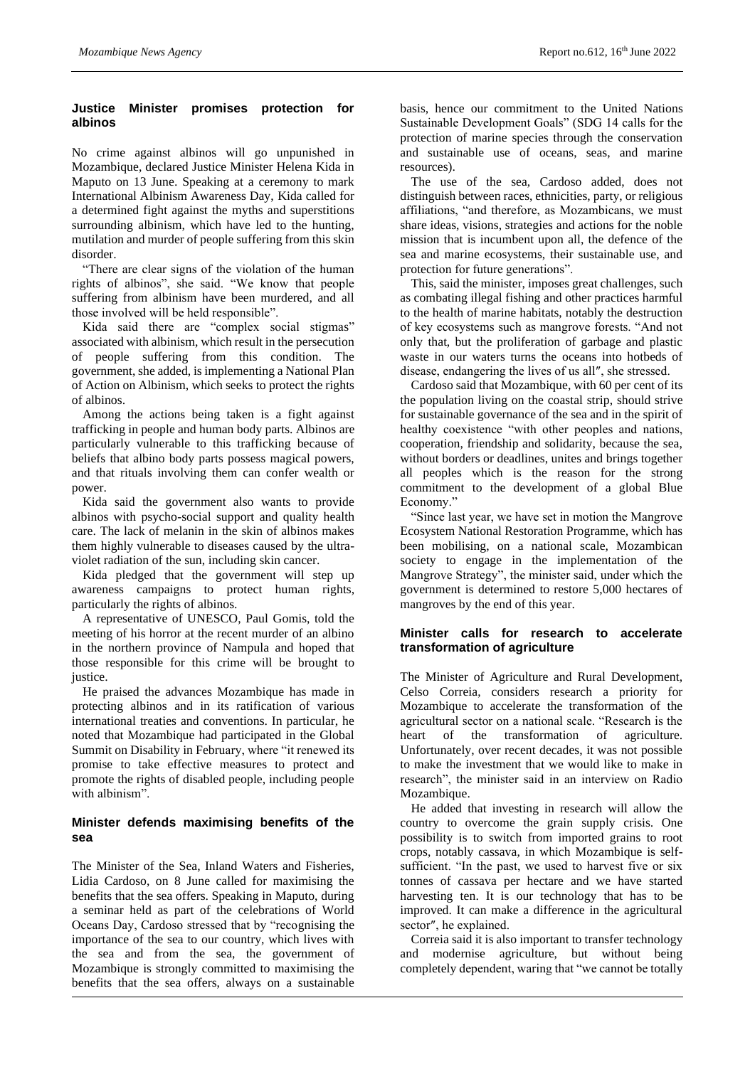# **Justice Minister promises protection for albinos**

No crime against albinos will go unpunished in Mozambique, declared Justice Minister Helena Kida in Maputo on 13 June. Speaking at a ceremony to mark International Albinism Awareness Day, Kida called for a determined fight against the myths and superstitions surrounding albinism, which have led to the hunting, mutilation and murder of people suffering from this skin disorder.

"There are clear signs of the violation of the human rights of albinos", she said. "We know that people suffering from albinism have been murdered, and all those involved will be held responsible".

Kida said there are "complex social stigmas" associated with albinism, which result in the persecution of people suffering from this condition. The government, she added, is implementing a National Plan of Action on Albinism, which seeks to protect the rights of albinos.

Among the actions being taken is a fight against trafficking in people and human body parts. Albinos are particularly vulnerable to this trafficking because of beliefs that albino body parts possess magical powers, and that rituals involving them can confer wealth or power.

Kida said the government also wants to provide albinos with psycho-social support and quality health care. The lack of melanin in the skin of albinos makes them highly vulnerable to diseases caused by the ultraviolet radiation of the sun, including skin cancer.

Kida pledged that the government will step up awareness campaigns to protect human rights, particularly the rights of albinos.

A representative of UNESCO, Paul Gomis, told the meeting of his horror at the recent murder of an albino in the northern province of Nampula and hoped that those responsible for this crime will be brought to justice.

He praised the advances Mozambique has made in protecting albinos and in its ratification of various international treaties and conventions. In particular, he noted that Mozambique had participated in the Global Summit on Disability in February, where "it renewed its promise to take effective measures to protect and promote the rights of disabled people, including people with albinism".

# **Minister defends maximising benefits of the sea**

The Minister of the Sea, Inland Waters and Fisheries, Lidia Cardoso, on 8 June called for maximising the benefits that the sea offers. Speaking in Maputo, during a seminar held as part of the celebrations of World Oceans Day, Cardoso stressed that by "recognising the importance of the sea to our country, which lives with the sea and from the sea, the government of Mozambique is strongly committed to maximising the benefits that the sea offers, always on a sustainable

basis, hence our commitment to the United Nations Sustainable Development Goals" (SDG 14 calls for the protection of marine species through the conservation and sustainable use of oceans, seas, and marine resources).

The use of the sea, Cardoso added, does not distinguish between races, ethnicities, party, or religious affiliations, "and therefore, as Mozambicans, we must share ideas, visions, strategies and actions for the noble mission that is incumbent upon all, the defence of the sea and marine ecosystems, their sustainable use, and protection for future generations".

This, said the minister, imposes great challenges, such as combating illegal fishing and other practices harmful to the health of marine habitats, notably the destruction of key ecosystems such as mangrove forests. "And not only that, but the proliferation of garbage and plastic waste in our waters turns the oceans into hotbeds of disease, endangering the lives of us all″, she stressed.

Cardoso said that Mozambique, with 60 per cent of its the population living on the coastal strip, should strive for sustainable governance of the sea and in the spirit of healthy coexistence "with other peoples and nations, cooperation, friendship and solidarity, because the sea, without borders or deadlines, unites and brings together all peoples which is the reason for the strong commitment to the development of a global Blue Economy."

"Since last year, we have set in motion the Mangrove Ecosystem National Restoration Programme, which has been mobilising, on a national scale, Mozambican society to engage in the implementation of the Mangrove Strategy", the minister said, under which the government is determined to restore 5,000 hectares of mangroves by the end of this year.

# **Minister calls for research to accelerate transformation of agriculture**

The Minister of Agriculture and Rural Development, Celso Correia, considers research a priority for Mozambique to accelerate the transformation of the agricultural sector on a national scale. "Research is the heart of the transformation of agriculture. Unfortunately, over recent decades, it was not possible to make the investment that we would like to make in research", the minister said in an interview on Radio Mozambique.

He added that investing in research will allow the country to overcome the grain supply crisis. One possibility is to switch from imported grains to root crops, notably cassava, in which Mozambique is selfsufficient. "In the past, we used to harvest five or six tonnes of cassava per hectare and we have started harvesting ten. It is our technology that has to be improved. It can make a difference in the agricultural sector″, he explained.

Correia said it is also important to transfer technology and modernise agriculture, but without being completely dependent, waring that "we cannot be totally